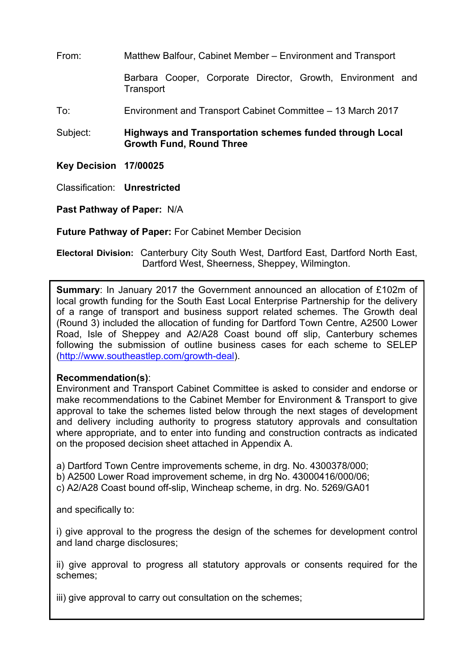From: Matthew Balfour, Cabinet Member – Environment and Transport

Barbara Cooper, Corporate Director, Growth, Environment and **Transport** 

To: Environment and Transport Cabinet Committee – 13 March 2017

Subject: **Highways and Transportation schemes funded through Local Growth Fund, Round Three**

**Key Decision 17/00025**

Classification: **Unrestricted**

**Past Pathway of Paper:** N/A

**Future Pathway of Paper:** For Cabinet Member Decision

**Electoral Division:** Canterbury City South West, Dartford East, Dartford North East, Dartford West, Sheerness, Sheppey, Wilmington.

**Summary**: In January 2017 the Government announced an allocation of £102m of local growth funding for the South East Local Enterprise Partnership for the delivery of a range of transport and business support related schemes. The Growth deal (Round 3) included the allocation of funding for Dartford Town Centre, A2500 Lower Road, Isle of Sheppey and A2/A28 Coast bound off slip, Canterbury schemes following the submission of outline business cases for each scheme to SELEP (<http://www.southeastlep.com/growth-deal>).

#### **Recommendation(s)**:

Environment and Transport Cabinet Committee is asked to consider and endorse or make recommendations to the Cabinet Member for Environment & Transport to give approval to take the schemes listed below through the next stages of development and delivery including authority to progress statutory approvals and consultation where appropriate, and to enter into funding and construction contracts as indicated on the proposed decision sheet attached in Appendix A.

a) Dartford Town Centre improvements scheme, in drg. No. 4300378/000; b) A2500 Lower Road improvement scheme, in drg No. 43000416/000/06;

c) A2/A28 Coast bound off-slip, Wincheap scheme, in drg. No. 5269/GA01

and specifically to:

i) give approval to the progress the design of the schemes for development control and land charge disclosures;

ii) give approval to progress all statutory approvals or consents required for the schemes;

iii) give approval to carry out consultation on the schemes;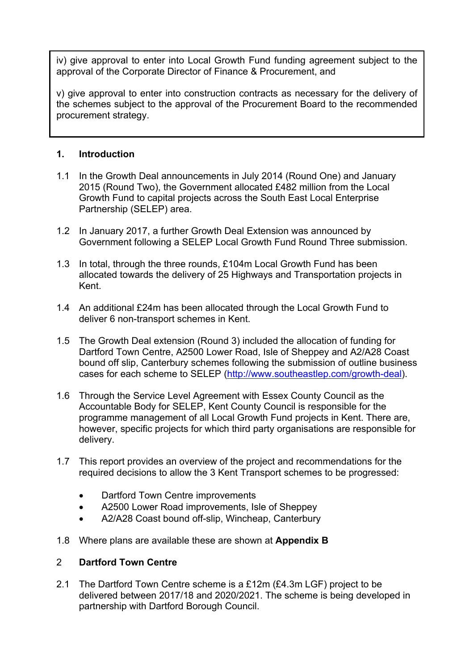iv) give approval to enter into Local Growth Fund funding agreement subject to the approval of the Corporate Director of Finance & Procurement, and

v) give approval to enter into construction contracts as necessary for the delivery of the schemes subject to the approval of the Procurement Board to the recommended procurement strategy.

### **1. Introduction**

- 1.1 In the Growth Deal announcements in July 2014 (Round One) and January 2015 (Round Two), the Government allocated £482 million from the Local Growth Fund to capital projects across the South East Local Enterprise Partnership (SELEP) area.
- 1.2 In January 2017, a further Growth Deal Extension was announced by Government following a SELEP Local Growth Fund Round Three submission.
- 1.3 In total, through the three rounds, £104m Local Growth Fund has been allocated towards the delivery of 25 Highways and Transportation projects in Kent.
- 1.4 An additional £24m has been allocated through the Local Growth Fund to deliver 6 non-transport schemes in Kent.
- 1.5 The Growth Deal extension (Round 3) included the allocation of funding for Dartford Town Centre, A2500 Lower Road, Isle of Sheppey and A2/A28 Coast bound off slip, Canterbury schemes following the submission of outline business cases for each scheme to SELEP [\(http://www.southeastlep.com/growth-deal\)](http://www.southeastlep.com/growth-deal).
- 1.6 Through the Service Level Agreement with Essex County Council as the Accountable Body for SELEP, Kent County Council is responsible for the programme management of all Local Growth Fund projects in Kent. There are, however, specific projects for which third party organisations are responsible for delivery.
- 1.7 This report provides an overview of the project and recommendations for the required decisions to allow the 3 Kent Transport schemes to be progressed:
	- Dartford Town Centre improvements
	- A2500 Lower Road improvements, Isle of Sheppey
	- A2/A28 Coast bound off-slip, Wincheap, Canterbury
- 1.8 Where plans are available these are shown at **Appendix B**

#### 2 **Dartford Town Centre**

2.1 The Dartford Town Centre scheme is a £12m (£4.3m LGF) project to be delivered between 2017/18 and 2020/2021. The scheme is being developed in partnership with Dartford Borough Council.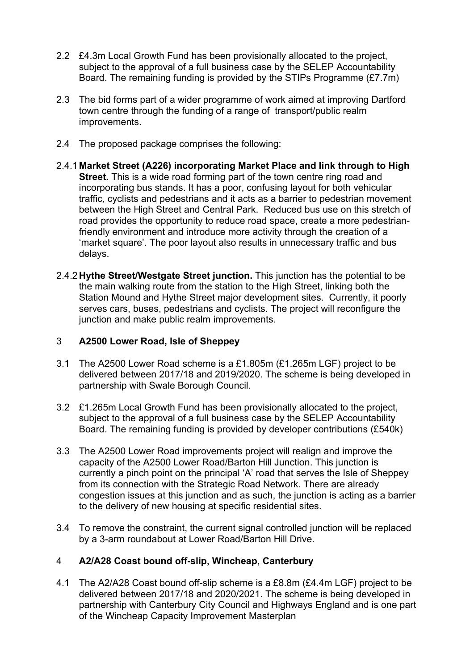- 2.2 £4.3m Local Growth Fund has been provisionally allocated to the project, subject to the approval of a full business case by the SELEP Accountability Board. The remaining funding is provided by the STIPs Programme (£7.7m)
- 2.3 The bid forms part of a wider programme of work aimed at improving Dartford town centre through the funding of a range of transport/public realm improvements.
- 2.4 The proposed package comprises the following:
- 2.4.1 **Market Street (A226) incorporating Market Place and link through to High Street.** This is a wide road forming part of the town centre ring road and incorporating bus stands. It has a poor, confusing layout for both vehicular traffic, cyclists and pedestrians and it acts as a barrier to pedestrian movement between the High Street and Central Park. Reduced bus use on this stretch of road provides the opportunity to reduce road space, create a more pedestrianfriendly environment and introduce more activity through the creation of a 'market square'. The poor layout also results in unnecessary traffic and bus delays.
- 2.4.2**Hythe Street/Westgate Street junction.** This junction has the potential to be the main walking route from the station to the High Street, linking both the Station Mound and Hythe Street major development sites. Currently, it poorly serves cars, buses, pedestrians and cyclists. The project will reconfigure the junction and make public realm improvements.

#### 3 **A2500 Lower Road, Isle of Sheppey**

- 3.1 The A2500 Lower Road scheme is a £1.805m (£1.265m LGF) project to be delivered between 2017/18 and 2019/2020. The scheme is being developed in partnership with Swale Borough Council.
- 3.2 £1.265m Local Growth Fund has been provisionally allocated to the project, subject to the approval of a full business case by the SELEP Accountability Board. The remaining funding is provided by developer contributions (£540k)
- 3.3 The A2500 Lower Road improvements project will realign and improve the capacity of the A2500 Lower Road/Barton Hill Junction. This junction is currently a pinch point on the principal 'A' road that serves the Isle of Sheppey from its connection with the Strategic Road Network. There are already congestion issues at this junction and as such, the junction is acting as a barrier to the delivery of new housing at specific residential sites.
- 3.4 To remove the constraint, the current signal controlled junction will be replaced by a 3-arm roundabout at Lower Road/Barton Hill Drive.

#### 4 **A2/A28 Coast bound off-slip, Wincheap, Canterbury**

4.1 The A2/A28 Coast bound off-slip scheme is a £8.8m (£4.4m LGF) project to be delivered between 2017/18 and 2020/2021. The scheme is being developed in partnership with Canterbury City Council and Highways England and is one part of the Wincheap Capacity Improvement Masterplan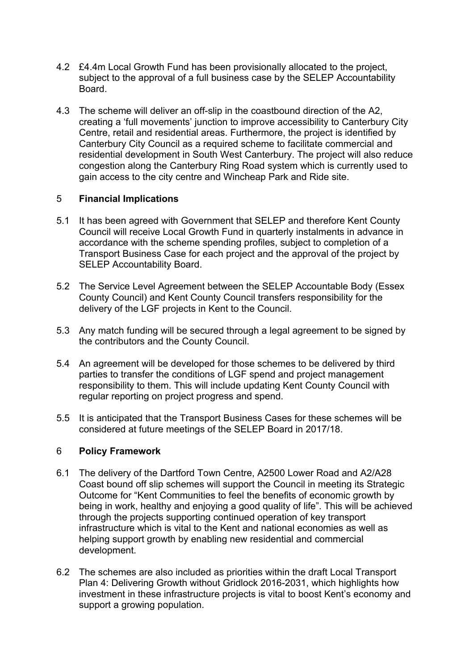- 4.2 £4.4m Local Growth Fund has been provisionally allocated to the project, subject to the approval of a full business case by the SELEP Accountability Board.
- 4.3 The scheme will deliver an off-slip in the coastbound direction of the A2, creating a 'full movements' junction to improve accessibility to Canterbury City Centre, retail and residential areas. Furthermore, the project is identified by Canterbury City Council as a required scheme to facilitate commercial and residential development in South West Canterbury. The project will also reduce congestion along the Canterbury Ring Road system which is currently used to gain access to the city centre and Wincheap Park and Ride site.

## 5 **Financial Implications**

- 5.1 It has been agreed with Government that SELEP and therefore Kent County Council will receive Local Growth Fund in quarterly instalments in advance in accordance with the scheme spending profiles, subject to completion of a Transport Business Case for each project and the approval of the project by SELEP Accountability Board.
- 5.2 The Service Level Agreement between the SELEP Accountable Body (Essex County Council) and Kent County Council transfers responsibility for the delivery of the LGF projects in Kent to the Council.
- 5.3 Any match funding will be secured through a legal agreement to be signed by the contributors and the County Council.
- 5.4 An agreement will be developed for those schemes to be delivered by third parties to transfer the conditions of LGF spend and project management responsibility to them. This will include updating Kent County Council with regular reporting on project progress and spend.
- 5.5 It is anticipated that the Transport Business Cases for these schemes will be considered at future meetings of the SELEP Board in 2017/18.

#### 6 **Policy Framework**

- 6.1 The delivery of the Dartford Town Centre, A2500 Lower Road and A2/A28 Coast bound off slip schemes will support the Council in meeting its Strategic Outcome for "Kent Communities to feel the benefits of economic growth by being in work, healthy and enjoying a good quality of life". This will be achieved through the projects supporting continued operation of key transport infrastructure which is vital to the Kent and national economies as well as helping support growth by enabling new residential and commercial development.
- 6.2 The schemes are also included as priorities within the draft Local Transport Plan 4: Delivering Growth without Gridlock 2016-2031, which highlights how investment in these infrastructure projects is vital to boost Kent's economy and support a growing population.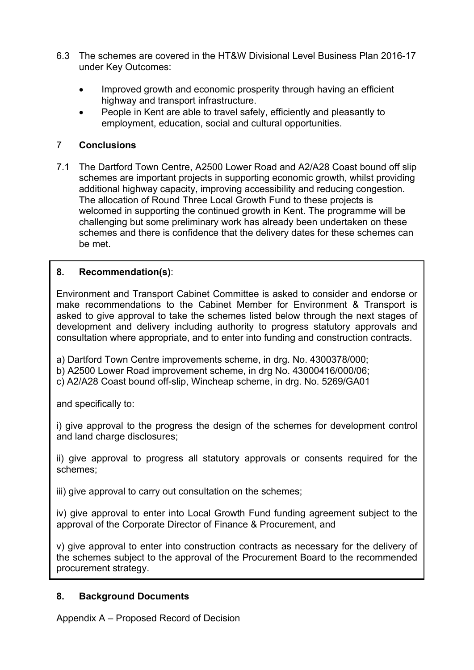- 6.3 The schemes are covered in the HT&W Divisional Level Business Plan 2016-17 under Key Outcomes:
	- Improved growth and economic prosperity through having an efficient highway and transport infrastructure.
	- People in Kent are able to travel safely, efficiently and pleasantly to employment, education, social and cultural opportunities.

## 7 **Conclusions**

7.1 The Dartford Town Centre, A2500 Lower Road and A2/A28 Coast bound off slip schemes are important projects in supporting economic growth, whilst providing additional highway capacity, improving accessibility and reducing congestion. The allocation of Round Three Local Growth Fund to these projects is welcomed in supporting the continued growth in Kent. The programme will be challenging but some preliminary work has already been undertaken on these schemes and there is confidence that the delivery dates for these schemes can be met.

# **8. Recommendation(s)**:

Environment and Transport Cabinet Committee is asked to consider and endorse or make recommendations to the Cabinet Member for Environment & Transport is asked to give approval to take the schemes listed below through the next stages of development and delivery including authority to progress statutory approvals and consultation where appropriate, and to enter into funding and construction contracts.

a) Dartford Town Centre improvements scheme, in drg. No. 4300378/000; b) A2500 Lower Road improvement scheme, in drg No. 43000416/000/06; c) A2/A28 Coast bound off-slip, Wincheap scheme, in drg. No. 5269/GA01

and specifically to:

i) give approval to the progress the design of the schemes for development control and land charge disclosures;

ii) give approval to progress all statutory approvals or consents required for the schemes;

iii) give approval to carry out consultation on the schemes;

iv) give approval to enter into Local Growth Fund funding agreement subject to the approval of the Corporate Director of Finance & Procurement, and

v) give approval to enter into construction contracts as necessary for the delivery of the schemes subject to the approval of the Procurement Board to the recommended procurement strategy.

# **8. Background Documents**

Appendix A – Proposed Record of Decision